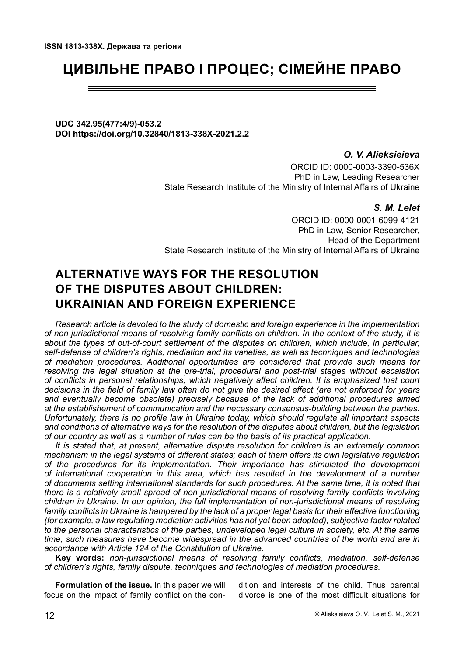# **ЦИВІЛЬНЕ ПРАВО І ПРОЦЕС; СІМЕЙНЕ ПРАВО**

**UDC 342.95(477:4/9)-053.2 DOI https://doi.org/10.32840/1813-338X-2021.2.2**

> *О. V. Alieksieieva* ORCID ID: 0000-0003-3390-536X PhD in Law, Leading Researcher State Research Institute of the Ministry of Internal Affairs of Ukraine

## *S. M. Lelet*

ORCID ID: 0000-0001-6099-4121 PhD in Law, Senior Researcher, Head of the Department State Research Institute of the Ministry of Internal Affairs of Ukraine

# **ALTERNATIVE WAYS FOR THE RESOLUTION OF THE DISPUTES ABOUT CHILDREN: UKRAINIAN AND FOREIGN EXPERIENCE**

*Research article is devoted to the study of domestic and foreign experience in the implementation of non-jurisdictional means of resolving family conflicts on children. In the context of the study, it is about the types of out-of-court settlement of the disputes on children, which include, in particular, self-defense of children's rights, mediation and its varieties, as well as techniques and technologies of mediation procedures. Additional opportunities are considered that provide such means for resolving the legal situation at the pre-trial, procedural and post-trial stages without escalation of conflicts in personal relationships, which negatively affect children. It is emphasized that court decisions in the field of family law often do not give the desired effect (are not enforced for years and eventually become obsolete) precisely because of the lack of additional procedures aimed at the establishement of communication and the necessary consensus-building between the parties. Unfortunately, there is no profile law in Ukraine today, which should regulate all important aspects and conditions of alternative ways for the resolution of the disputes about children, but the legislation of our country as well as a number of rules can be the basis of its practical application.*

*It is stated that, at present, alternative dispute resolution for children is an extremely common mechanism in the legal systems of different states; each of them offers its own legislative regulation of the procedures for its implementation. Their importance has stimulated the development of international cooperation in this area, which has resulted in the development of a number of documents setting international standards for such procedures. At the same time, it is noted that there is a relatively small spread of non-jurisdictional means of resolving family conflicts involving children in Ukraine. In our opinion, the full implementation of non-jurisdictional means of resolving family conflicts in Ukraine is hampered by the lack of a proper legal basis for their effective functioning (for example, a law regulating mediation activities has not yet been adopted), subjective factor related to the personal characteristics of the parties, undeveloped legal culture in society, etc. At the same time, such measures have become widespread in the advanced countries of the world and are in accordance with Article 124 of the Constitution of Ukraine.*

**Key words:** *non-jurisdictional means of resolving family conflicts, mediation, self-defense of children's rights, family dispute, techniques and technologies of mediation procedures.*

**Formulation of the issue.** In this paper we will focus on the impact of family conflict on the con-

dition and interests of the child. Thus parental divorce is one of the most difficult situations for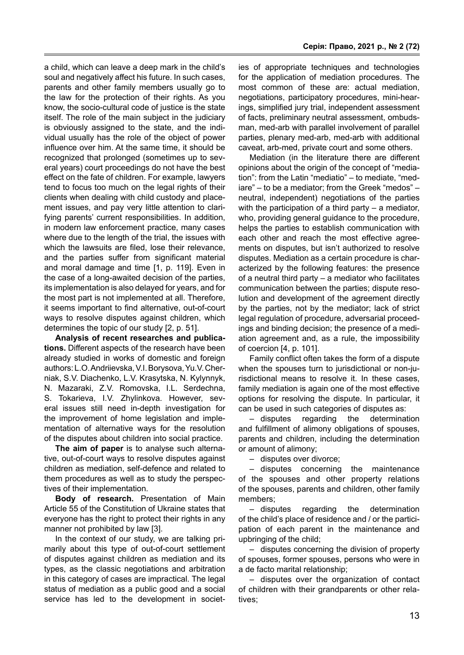a child, which can leave a deep mark in the child's soul and negatively affect his future. In such cases, parents and other family members usually go to the law for the protection of their rights. As you know, the socio-cultural code of justice is the state itself. The role of the main subject in the judiciary is obviously assigned to the state, and the individual usually has the role of the object of power influence over him. At the same time, it should be recognized that prolonged (sometimes up to several years) court proceedings do not have the best effect on the fate of children. For example, lawyers tend to focus too much on the legal rights of their clients when dealing with child custody and placement issues, and pay very little attention to clarifying parents' current responsibilities. In addition, in modern law enforcement practice, many cases where due to the length of the trial, the issues with which the lawsuits are filed, lose their relevance, and the parties suffer from significant material and moral damage and time [1, p. 119]. Even in the case of a long-awaited decision of the parties, its implementation is also delayed for years, and for the most part is not implemented at all. Therefore, it seems important to find alternative, out-of-court ways to resolve disputes against children, which determines the topic of our study [2, p. 51].

**Analysis of recent researches and publications.** Different aspects of the research have been already studied in works of domestic and foreign authors: L.O. Andriievska, V.I. Borysova, Yu.V. Cherniak, S.V. Diachenko, L.V. Krasytska, N. Kylynnyk, N. Mazaraki, Z.V. Romovska, I.L. Serdechna, S. Tokarieva, I.V. Zhylinkova. However, several issues still need in-depth investigation for the improvement of home legislation and implementation of alternative ways for the resolution of the disputes about children into social practice.

**The aim of paper** is to analyse such alternative, out-of-court ways to resolve disputes against children as mediation, self-defence and related to them procedures as well as to study the perspectives of their implementation.

**Body of research.** Presentation of Main Article 55 of the Constitution of Ukraine states that everyone has the right to protect their rights in any manner not prohibited by law [3].

In the context of our study, we are talking primarily about this type of out-of-court settlement of disputes against children as mediation and its types, as the classic negotiations and arbitration in this category of cases are impractical. The legal status of mediation as a public good and a social service has led to the development in societ-

ies of appropriate techniques and technologies for the application of mediation procedures. The most common of these are: actual mediation, negotiations, participatory procedures, mini-hearings, simplified jury trial, independent assessment of facts, preliminary neutral assessment, ombudsman, med-arb with parallel involvement of parallel parties, plenary med-arb, med-arb with additional caveat, arb-med, private court and some others.

Mediation (in the literature there are different opinions about the origin of the concept of "mediation": from the Latin "mediatio" – to mediate, "mediare" – to be a mediator; from the Greek "medos" – neutral, independent) negotiations of the parties with the participation of a third party – a mediator, who, providing general guidance to the procedure. helps the parties to establish communication with each other and reach the most effective agreements on disputes, but isn't authorized to resolve disputes. Mediation as a certain procedure is characterized by the following features: the presence of a neutral third party – a mediator who facilitates communication between the parties; dispute resolution and development of the agreement directly by the parties, not by the mediator; lack of strict legal regulation of procedure, adversarial proceedings and binding decision; the presence of a mediation agreement and, as a rule, the impossibility of coercion [4, p. 101].

Family conflict often takes the form of a dispute when the spouses turn to jurisdictional or non-jurisdictional means to resolve it. In these cases, family mediation is again one of the most effective options for resolving the dispute. In particular, it can be used in such categories of disputes as:

– disputes regarding the determination and fulfillment of alimony obligations of spouses, parents and children, including the determination or amount of alimony;

– disputes over divorce;

– disputes concerning the maintenance of the spouses and other property relations of the spouses, parents and children, other family members;

– disputes regarding the determination of the child's place of residence and / or the participation of each parent in the maintenance and upbringing of the child;

– disputes concerning the division of property of spouses, former spouses, persons who were in a de facto marital relationship;

– disputes over the organization of contact of children with their grandparents or other relatives;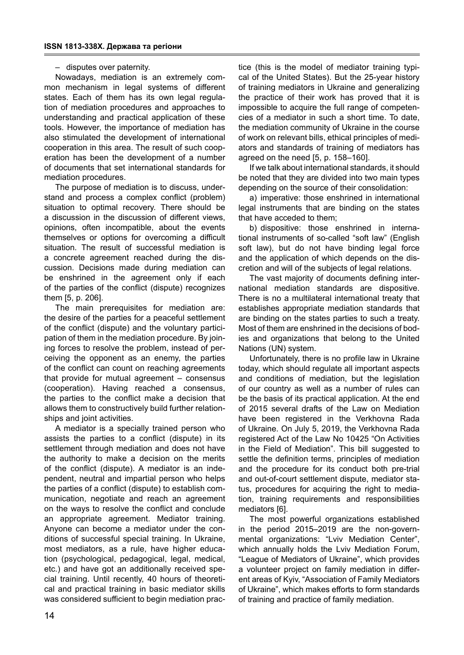## – disputes over paternity.

Nowadays, mediation is an extremely common mechanism in legal systems of different states. Each of them has its own legal regulation of mediation procedures and approaches to understanding and practical application of these tools. However, the importance of mediation has also stimulated the development of international cooperation in this area. The result of such cooperation has been the development of a number of documents that set international standards for mediation procedures.

The purpose of mediation is to discuss, understand and process a complex conflict (problem) situation to optimal recovery. There should be a discussion in the discussion of different views, opinions, often incompatible, about the events themselves or options for overcoming a difficult situation. The result of successful mediation is a concrete agreement reached during the discussion. Decisions made during mediation can be enshrined in the agreement only if each of the parties of the conflict (dispute) recognizes them [5, p. 206].

The main prerequisites for mediation are: the desire of the parties for a peaceful settlement of the conflict (dispute) and the voluntary participation of them in the mediation procedure. By joining forces to resolve the problem, instead of perceiving the opponent as an enemy, the parties of the conflict can count on reaching agreements that provide for mutual agreement – consensus (cooperation). Having reached a consensus, the parties to the conflict make a decision that allows them to constructively build further relationships and joint activities.

A mediator is a specially trained person who assists the parties to a conflict (dispute) in its settlement through mediation and does not have the authority to make a decision on the merits of the conflict (dispute). A mediator is an independent, neutral and impartial person who helps the parties of a conflict (dispute) to establish communication, negotiate and reach an agreement on the ways to resolve the conflict and conclude an appropriate agreement. Mediator training. Anyone can become a mediator under the conditions of successful special training. In Ukraine, most mediators, as a rule, have higher education (psychological, pedagogical, legal, medical, etc.) and have got an additionally received special training. Until recently, 40 hours of theoretical and practical training in basic mediator skills was considered sufficient to begin mediation prac-

14

tice (this is the model of mediator training typical of the United States). But the 25-year history of training mediators in Ukraine and generalizing the practice of their work has proved that it is impossible to acquire the full range of competencies of a mediator in such a short time. To date, the mediation community of Ukraine in the course of work on relevant bills, ethical principles of mediators and standards of training of mediators has agreed on the need [5, p. 158–160].

If we talk about international standards, it should be noted that they are divided into two main types depending on the source of their consolidation:

a) imperative: those enshrined in international legal instruments that are binding on the states that have acceded to them;

b) dispositive: those enshrined in international instruments of so-called "soft law" (English soft law), but do not have binding legal force and the application of which depends on the discretion and will of the subjects of legal relations.

The vast majority of documents defining international mediation standards are dispositive. There is no a multilateral international treaty that establishes appropriate mediation standards that are binding on the states parties to such a treaty. Most of them are enshrined in the decisions of bodies and organizations that belong to the United Nations (UN) system.

Unfortunately, there is no profile law in Ukraine today, which should regulate all important aspects and conditions of mediation, but the legislation of our country as well as a number of rules can be the basis of its practical application. At the end of 2015 several drafts of the Law on Mediation have been registered in the Verkhovna Rada of Ukraine. On July 5, 2019, the Verkhovna Rada registered Act of the Law No 10425 "On Activities in the Field of Mediation". This bill suggested to settle the definition terms, principles of mediation and the procedure for its conduct both pre-trial and out-of-court settlement dispute, mediator status, procedures for acquiring the right to mediation, training requirements and responsibilities mediators [6].

The most powerful organizations established in the period 2015–2019 are the non-governmental organizations: "Lviv Mediation Center", which annually holds the Lviv Mediation Forum, "League of Mediators of Ukraine", which provides a volunteer project on family mediation in different areas of Kyiv, "Association of Family Mediators of Ukraine", which makes efforts to form standards of training and practice of family mediation.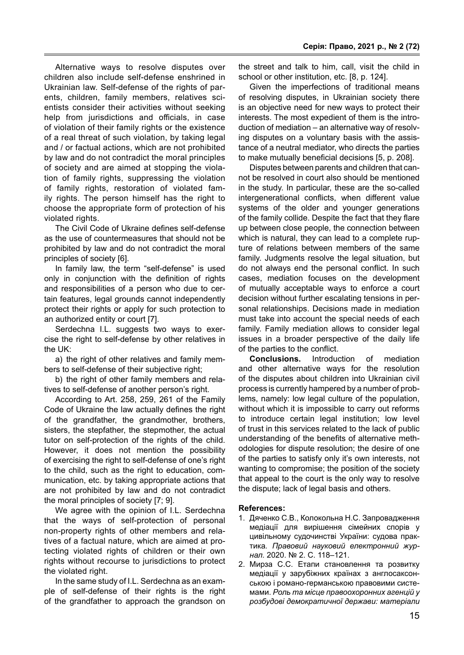Alternative ways to resolve disputes over children also include self-defense enshrined in Ukrainian law. Self-defense of the rights of parents, children, family members, relatives scientists consider their activities without seeking help from jurisdictions and officials, in case of violation of their family rights or the existence of a real threat of such violation, by taking legal and / or factual actions, which are not prohibited by law and do not contradict the moral principles of society and are aimed at stopping the violation of family rights, suppressing the violation of family rights, restoration of violated family rights. The person himself has the right to choose the appropriate form of protection of his violated rights.

The Civil Code of Ukraine defines self-defense as the use of countermeasures that should not be prohibited by law and do not contradict the moral principles of society [6].

In family law, the term "self-defense" is used only in conjunction with the definition of rights and responsibilities of a person who due to certain features, legal grounds cannot independently protect their rights or apply for such protection to an authorized entity or court [7].

Serdechna I.L. suggests two ways to exercise the right to self-defense by other relatives in the UK:

a) the right of other relatives and family members to self-defense of their subjective right;

b) the right of other family members and relatives to self-defense of another person's right.

According to Art. 258, 259, 261 of the Family Code of Ukraine the law actually defines the right of the grandfather, the grandmother, brothers, sisters, the stepfather, the stepmother, the actual tutor on self-protection of the rights of the child. However, it does not mention the possibility of exercising the right to self-defense of one's right to the child, such as the right to education, communication, etc. by taking appropriate actions that are not prohibited by law and do not contradict the moral principles of society [7; 9].

We agree with the opinion of I.L. Serdechna that the ways of self-protection of personal non-property rights of other members and relatives of a factual nature, which are aimed at protecting violated rights of children or their own rights without recourse to jurisdictions to protect the violated right.

In the same study of I.L. Serdechna as an example of self-defense of their rights is the right of the grandfather to approach the grandson on

the street and talk to him, call, visit the child in school or other institution, etc. [8, p. 124].

Given the imperfections of traditional means of resolving disputes, in Ukrainian society there is an objective need for new ways to protect their interests. The most expedient of them is the introduction of mediation – an alternative way of resolving disputes on a voluntary basis with the assistance of a neutral mediator, who directs the parties to make mutually beneficial decisions [5, p. 208].

Disputes between parents and children that cannot be resolved in court also should be mentioned in the study. In particular, these are the so-called intergenerational conflicts, when different value systems of the older and younger generations of the family collide. Despite the fact that they flare up between close people, the connection between which is natural, they can lead to a complete rupture of relations between members of the same family. Judgments resolve the legal situation, but do not always end the personal conflict. In such cases, mediation focuses on the development of mutually acceptable ways to enforce a court decision without further escalating tensions in personal relationships. Decisions made in mediation must take into account the special needs of each family. Family mediation allows to consider legal issues in a broader perspective of the daily life of the parties to the conflict.

**Conclusions.** Introduction of mediation and other alternative ways for the resolution of the disputes about children into Ukrainian civil process is currently hampered by a number of problems, namely: low legal culture of the population, without which it is impossible to carry out reforms to introduce certain legal institution; low level of trust in this services related to the lack of public understanding of the benefits of alternative methodologies for dispute resolution; the desire of one of the parties to satisfy only it's own interests, not wanting to compromise; the position of the society that appeal to the court is the only way to resolve the dispute; lack of legal basis and others.

#### **References:**

- 1. Дяченко С.В., Колокольна Н.С. Запровадження медіації для вирішення сімейних спорів у цивільному судочинстві України: судова практика*. Правовий науковий електронний журнал.* 2020. № 2. С. 118–121.
- 2. Мирза С.С. Етапи становлення та розвитку медіації у зарубіжних країнах з англосаксонською і романо-германською правовими системами. *Роль та місце правоохоронних агенцій у розбудові демократичної держави: матеріали*